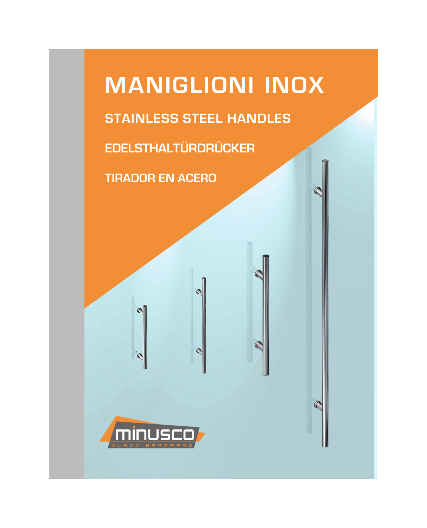

 $\mathbb{C}$ 

 $\mathbb{Q}$ 

 $\mathbb{C}$ 

 $\mathbb{C}$ 

**TIRADOR EN ACERO**